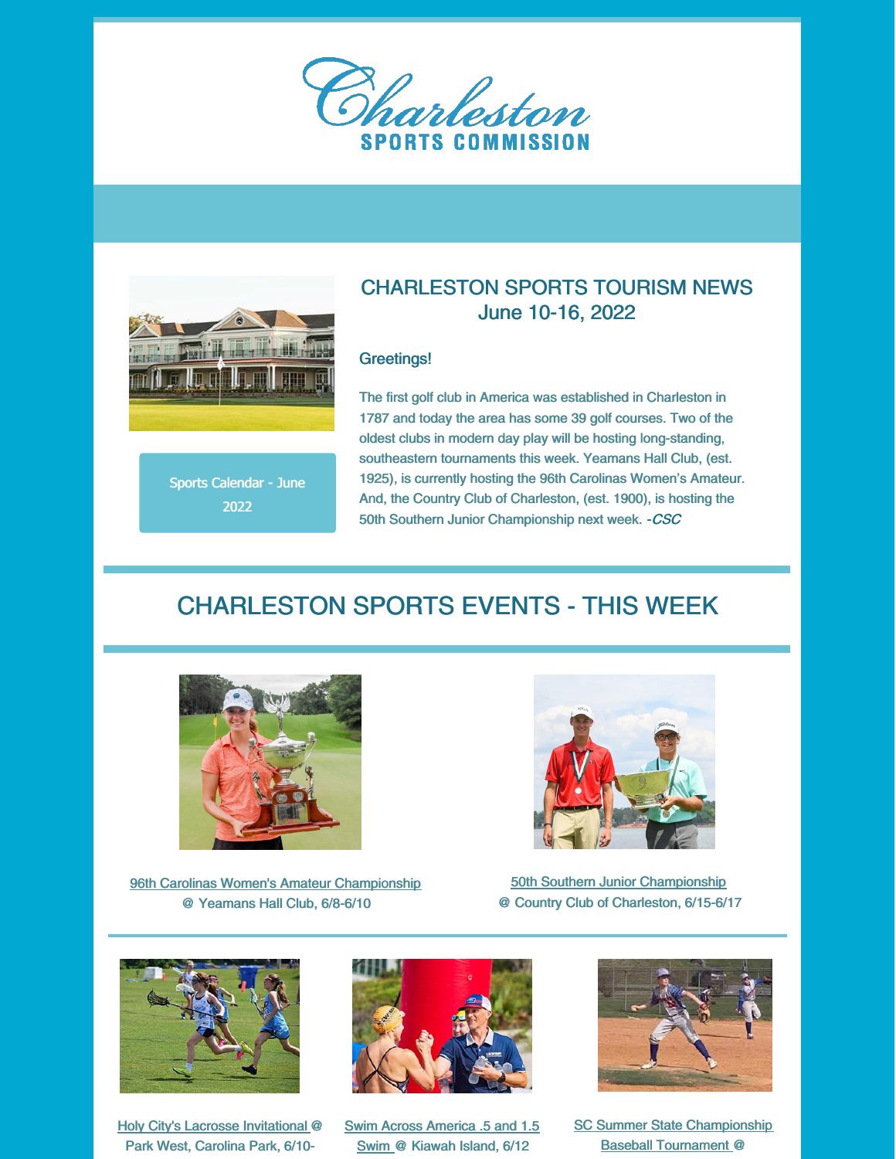



### Sports Calendar - June 2022

## CHARLESTON SPORTS TOURISM NEWS June 10-16, 2022

#### Greetings!

The first golf club in America was established in Charleston in 1787 and today the area has some 39 golf courses. Two of the oldest clubs in modern day play will be hosting long-standing, southeastern tournaments this week. Yeamans Hall Club, (est. 1925), is currently hosting the 96th Carolinas Women's Amateur. And, the Country Club of Charleston, (est. 1900), is hosting the 50th Southern Junior Championship next week. - CSC

## CHARLESTON SPORTS EVENTS - THIS WEEK



96th Carolinas Women's Amateur Championship @ Yeamans Hall Club, 6/8-6/10



50th Southern Junior Championship @ Country Club of Charleston, 6/15-6/17



Holy City's Lacrosse Invitational @ Park West, Carolina Park, 6/10-



Swim Across America .5 and 1.5 Swim @ Kiawah Island, 6/12



**SC Summer State Championship** Baseball Tournament @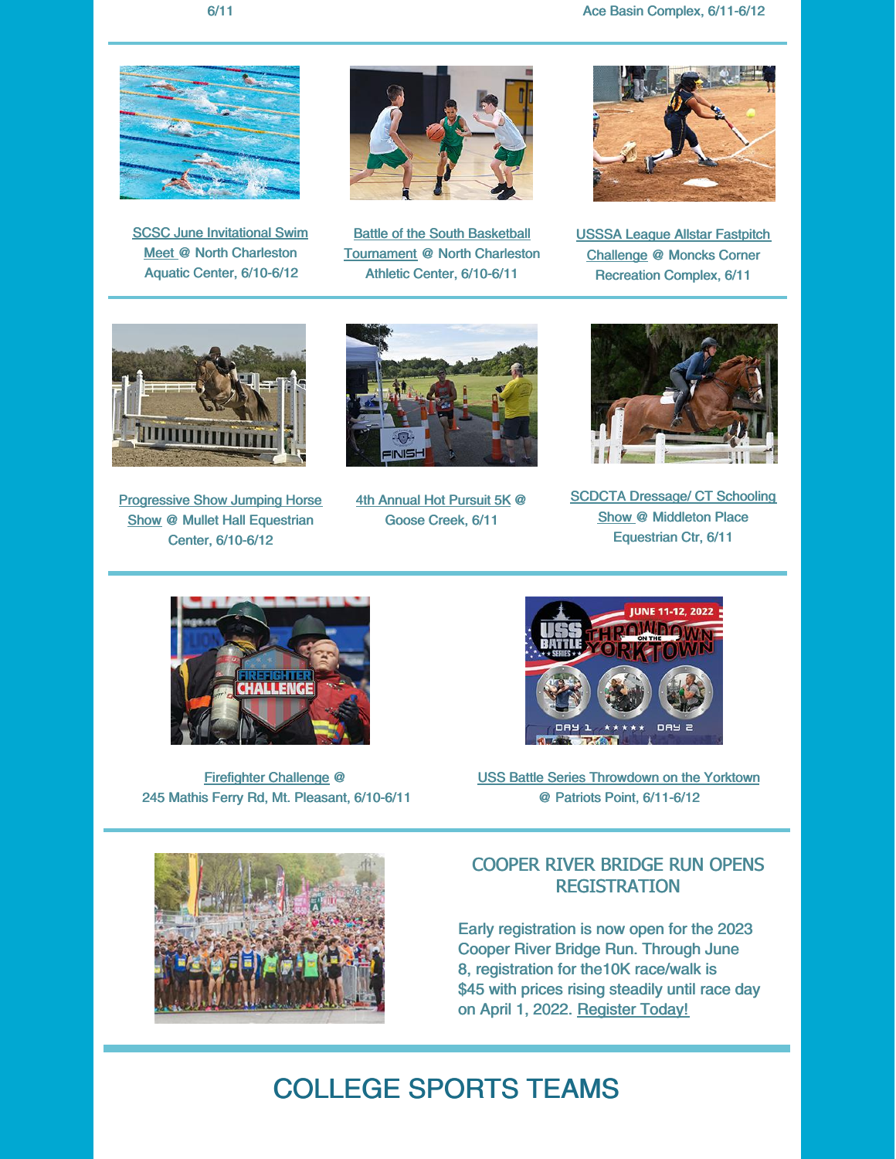

SCSC June Invitational Swim Meet @ North Charleston Aquatic Center, 6/10-6/12



**Battle of the South Basketball** Tournament @ North Charleston Athletic Center, 6/10-6/11



USSSA League Allstar Fastpitch Challenge @ Moncks Corner Recreation Complex, 6/11



**Progressive Show Jumping Horse** Show @ Mullet Hall Equestrian Center, 6/10-6/12



4th Annual Hot Pursuit 5K @ Goose Creek, 6/11



**SCDCTA Dressage/ CT Schooling** Show @ Middleton Place Equestrian Ctr, 6/11



Firefighter Challenge @ 245 Mathis Ferry Rd, Mt. Pleasant, 6/10-6/11



USS Battle Series Throwdown on the Yorktown @ Patriots Point, 6/11-6/12



## COOPER RIVER BRIDGE RUN OPENS **REGISTRATION**

Early registration is now open for the 2023 Cooper River Bridge Run. Through June 8, registration for the10K race/walk is \$45 with prices rising steadily until race day on April 1, 2022. Register Today!

# COLLEGE SPORTS TEAMS